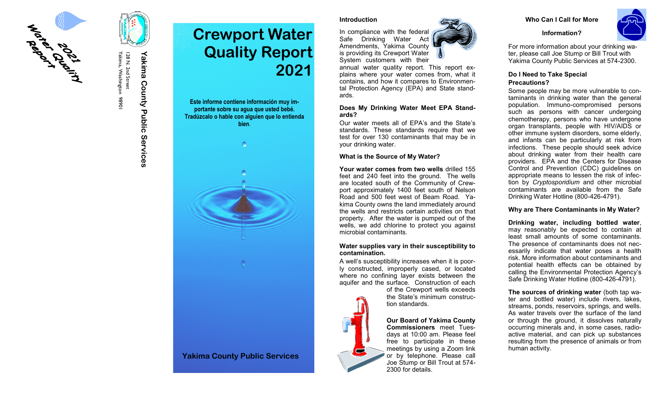

I 28 N. 2nd Street<br>Yakima, Washington 98901 Yakima, Washington 98901 128 N. 2nd Street

# **Yakima County Public Services** Yakima County Public Services



**Este informe contiene información muy importante sobre su agua que usted bebé. Tradúzcalo o hable con alguien que lo entienda bien**.



# **Yakima County Public Services**

#### **Introduction**

In compliance with the federal Safe Drinking Water Act Amendments, Yakima County is providing its Crewport Water System customers with their

annual water quality report. This report explains where your water comes from, what it contains, and how it compares to Environmental Protection Agency (EPA) and State standards.

#### **Does My Drinking Water Meet EPA Standards?**

Our water meets all of EPA 's and the State 's standards. These standards require that we test for over 130 contaminants that may be in your drinking water.

#### **What is the Source of My Water?**

**Your water comes from two wells** drilled 155 feet and 240 feet into the ground. The wells are located south of the Community of Crewport approximately 1400 feet south of Nelson Road and 500 feet west of Beam Road. Yakima County owns the land immediately around the wells and restricts certain activities on that property. After the water is pumped out of the wells, we add chlorine to protect you against microbial contaminants.

#### **Water supplies vary in their susceptibility to contamination.**

A well 's susceptibility increases when it is poorly constructed, improperly cased, or located where no confining layer exists between the aquifer and the surface. Construction of each

of the Crewport wells exceeds the State 's minimum construction standards.

# **Our Board of Yakima County Commissioners** meet Tues-

days at 10:00 am. Please feel free to participate in these meetings by using a Zoom link or by telephone. Please call Joe Stump or Bill Trout at 574 - 2300 for details.



**Information?**



For more information about your drinking water, please call Joe Stump or Bill Trout with Yakima County Public Services at 574 -2300.

# **Do I Need to Take Special Precautions?**

Some people may be more vulnerable to contaminants in drinking water than the general population. Immuno -compromised persons such as persons with cancer undergoing chemotherapy, persons who have undergone organ transplants, people with HIV/AIDS or other immune system disorders, some elderly, and infants can be particularly at risk from infections. These people should seek advice about drinking water from their health care providers. EPA and the Centers for Disease Control and Prevention (CDC) guidelines on appropriate means to lessen the risk of infection by *Cryptosporidium* and other microbial contaminants are available from the Safe Drinking Water Hotline (800 -426 -4791).

# **Why are There Contaminants in My Water?**

**Drinking water, including bottled water**, may reasonably be expected to contain at least small amounts of some contaminants. The presence of contaminants does not necessarily indicate that water poses a health risk. More information about contaminants and potential health effects can be obtained by calling the Environmental Protection Agency 's Safe Drinking Water Hotline (800 -426 -4791).

**The sources of drinking water** (both tap water and bottled water) include rivers, lakes, streams, ponds, reservoirs, springs, and wells. As water travels over the surface of the land or through the ground, it dissolves naturally occurring minerals and, in some cases, radioactive material, and can pick up substances resulting from the presence of animals or from human activity.